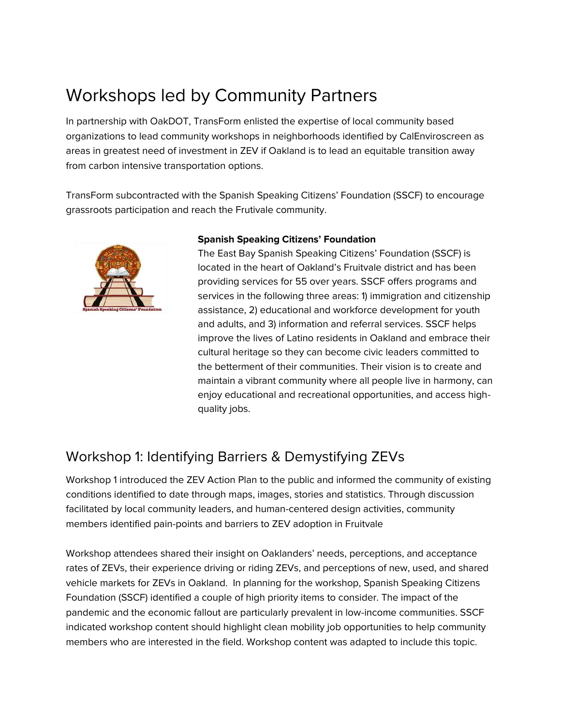# Workshops led by Community Partners

In partnership with OakDOT, TransForm enlisted the expertise of local community based organizations to lead community workshops in neighborhoods identified by CalEnviroscreen as areas in greatest need of investment in ZEV if Oakland is to lead an equitable transition away from carbon intensive transportation options.

TransForm subcontracted with the Spanish Speaking Citizens' Foundation (SSCF) to encourage grassroots participation and reach the Frutivale community.



## **Spanish Speaking Citizens' Foundation**

The East Bay Spanish Speaking Citizens' Foundation (SSCF) is located in the heart of Oakland's Fruitvale district and has been providing services for 55 over years. SSCF offers programs and services in the following three areas: 1) immigration and citizenship assistance, 2) educational and workforce development for youth and adults, and 3) information and referral services. SSCF helps improve the lives of Latino residents in Oakland and embrace their cultural heritage so they can become civic leaders committed to the betterment of their communities. Their vision is to create and maintain a vibrant community where all people live in harmony, can enjoy educational and recreational opportunities, and access highquality jobs.

## Workshop 1: Identifying Barriers & Demystifying ZEVs

Workshop 1 introduced the ZEV Action Plan to the public and informed the community of existing conditions identified to date through maps, images, stories and statistics. Through discussion facilitated by local community leaders, and human-centered design activities, community members identified pain-points and barriers to ZEV adoption in Fruitvale

Workshop attendees shared their insight on Oaklanders' needs, perceptions, and acceptance rates of ZEVs, their experience driving or riding ZEVs, and perceptions of new, used, and shared vehicle markets for ZEVs in Oakland. In planning for the workshop, Spanish Speaking Citizens Foundation (SSCF) identified a couple of high priority items to consider. The impact of the pandemic and the economic fallout are particularly prevalent in low-income communities. SSCF indicated workshop content should highlight clean mobility job opportunities to help community members who are interested in the field. Workshop content was adapted to include this topic.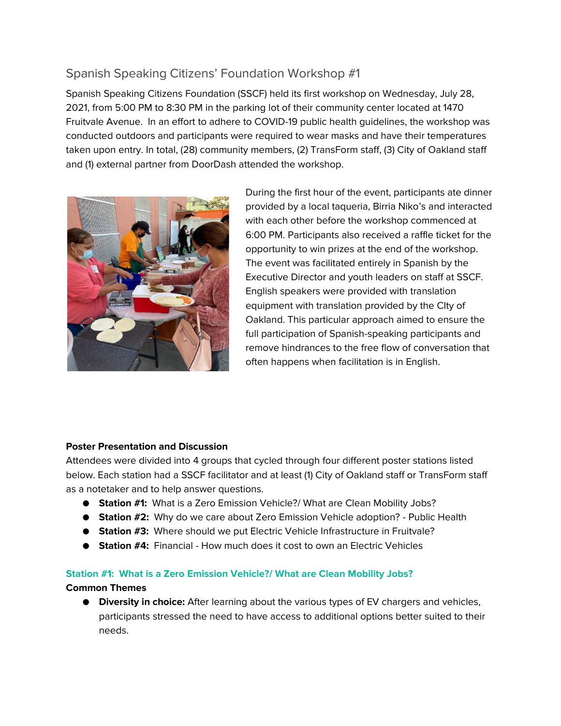## Spanish Speaking Citizens' Foundation Workshop #1

Spanish Speaking Citizens Foundation (SSCF) held its first workshop on Wednesday, July 28, 2021, from 5:00 PM to 8:30 PM in the parking lot of their community center located at 1470 Fruitvale Avenue. In an effort to adhere to COVID-19 public health guidelines, the workshop was conducted outdoors and participants were required to wear masks and have their temperatures taken upon entry. In total, (28) community members, (2) TransForm staff, (3) City of Oakland staff and (1) external partner from DoorDash attended the workshop.



During the first hour of the event, participants ate dinner provided by a local taqueria, Birria Niko's and interacted with each other before the workshop commenced at 6:00 PM. Participants also received a raffle ticket for the opportunity to win prizes at the end of the workshop. The event was facilitated entirely in Spanish by the Executive Director and youth leaders on staff at SSCF. English speakers were provided with translation equipment with translation provided by the CIty of Oakland. This particular approach aimed to ensure the full participation of Spanish-speaking participants and remove hindrances to the free flow of conversation that often happens when facilitation is in English.

## **Poster Presentation and Discussion**

Attendees were divided into 4 groups that cycled through four different poster stations listed below. Each station had a SSCF facilitator and at least (1) City of Oakland staff or TransForm staff as a notetaker and to help answer questions.

- **Station #1:** What is a Zero Emission Vehicle?/ What are Clean Mobility Jobs?
- **Station #2:** Why do we care about Zero Emission Vehicle adoption? Public Health
- **Station #3:** Where should we put Electric Vehicle Infrastructure in Fruitvale?
- **Station #4:** Financial How much does it cost to own an Electric Vehicles

## **Station #1: What is a Zero Emission Vehicle?/ What are Clean Mobility Jobs?**

## **Common Themes**

● **Diversity in choice:** After learning about the various types of EV chargers and vehicles, participants stressed the need to have access to additional options better suited to their needs.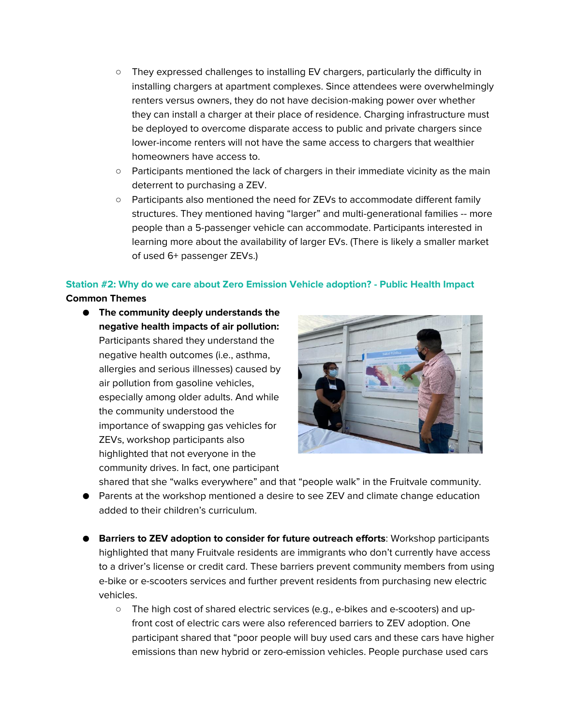- They expressed challenges to installing EV chargers, particularly the difficulty in installing chargers at apartment complexes. Since attendees were overwhelmingly renters versus owners, they do not have decision-making power over whether they can install a charger at their place of residence. Charging infrastructure must be deployed to overcome disparate access to public and private chargers since lower-income renters will not have the same access to chargers that wealthier homeowners have access to.
- Participants mentioned the lack of chargers in their immediate vicinity as the main deterrent to purchasing a ZEV.
- Participants also mentioned the need for ZEVs to accommodate different family structures. They mentioned having "larger" and multi-generational families -- more people than a 5-passenger vehicle can accommodate. Participants interested in learning more about the availability of larger EVs. (There is likely a smaller market of used 6+ passenger ZEVs.)

## **Station #2: Why do we care about Zero Emission Vehicle adoption? - Public Health Impact**

## **Common Themes**

● **The community deeply understands the negative health impacts of air pollution:** Participants shared they understand the negative health outcomes (i.e., asthma, allergies and serious illnesses) caused by air pollution from gasoline vehicles, especially among older adults. And while the community understood the importance of swapping gas vehicles for ZEVs, workshop participants also highlighted that not everyone in the community drives. In fact, one participant



- shared that she "walks everywhere" and that "people walk" in the Fruitvale community.
- Parents at the workshop mentioned a desire to see ZEV and climate change education added to their children's curriculum.
- **Barriers to ZEV adoption to consider for future outreach efforts: Workshop participants** highlighted that many Fruitvale residents are immigrants who don't currently have access to a driver's license or credit card. These barriers prevent community members from using e-bike or e-scooters services and further prevent residents from purchasing new electric vehicles.
	- The high cost of shared electric services (e.g., e-bikes and e-scooters) and upfront cost of electric cars were also referenced barriers to ZEV adoption. One participant shared that "poor people will buy used cars and these cars have higher emissions than new hybrid or zero-emission vehicles. People purchase used cars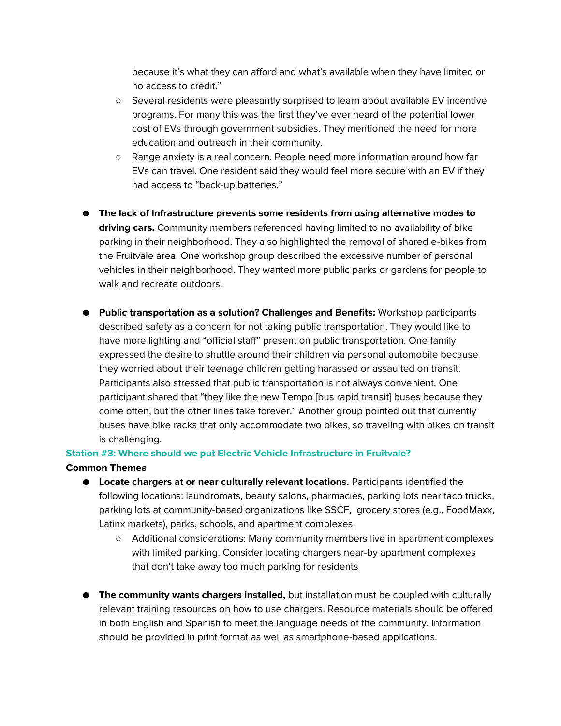because it's what they can afford and what's available when they have limited or no access to credit."

- Several residents were pleasantly surprised to learn about available EV incentive programs. For many this was the first they've ever heard of the potential lower cost of EVs through government subsidies. They mentioned the need for more education and outreach in their community.
- Range anxiety is a real concern. People need more information around how far EVs can travel. One resident said they would feel more secure with an EV if they had access to "back-up batteries."
- **The lack of Infrastructure prevents some residents from using alternative modes to driving cars.** Community members referenced having limited to no availability of bike parking in their neighborhood. They also highlighted the removal of shared e-bikes from the Fruitvale area. One workshop group described the excessive number of personal vehicles in their neighborhood. They wanted more public parks or gardens for people to walk and recreate outdoors.
- **Public transportation as a solution? Challenges and Benefits:** Workshop participants described safety as a concern for not taking public transportation. They would like to have more lighting and "official staff" present on public transportation. One family expressed the desire to shuttle around their children via personal automobile because they worried about their teenage children getting harassed or assaulted on transit. Participants also stressed that public transportation is not always convenient. One participant shared that "they like the new Tempo [bus rapid transit] buses because they come often, but the other lines take forever." Another group pointed out that currently buses have bike racks that only accommodate two bikes, so traveling with bikes on transit is challenging.

## **Station #3: Where should we put Electric Vehicle Infrastructure in Fruitvale?**

#### **Common Themes**

- **Locate chargers at or near culturally relevant locations.** Participants identified the following locations: laundromats, beauty salons, pharmacies, parking lots near taco trucks, parking lots at community-based organizations like SSCF, grocery stores (e.g., FoodMaxx, Latinx markets), parks, schools, and apartment complexes.
	- Additional considerations: Many community members live in apartment complexes with limited parking. Consider locating chargers near-by apartment complexes that don't take away too much parking for residents
- **The community wants chargers installed,** but installation must be coupled with culturally relevant training resources on how to use chargers. Resource materials should be offered in both English and Spanish to meet the language needs of the community. Information should be provided in print format as well as smartphone-based applications.